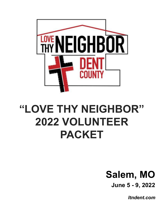

# **"LOVE THY NEIGHBOR" 2022 VOLUNTEER PACKET**

# **Salem, MO June 5 - 9, 2022**

*ltndent.com*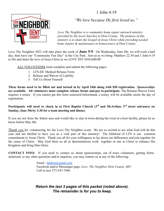1 John 4:19



*"We love because He first loved us."*

*Love Thy Neighbor is a community home repair outreach ministry provided by the local churches in Dent County. The purpose of this ministry is to share the Gospel of Jesus Christ while providing needed home repairs & maintenance to homeowners of Dent County.*

Love Thy Neighbor 2022 will take place the week of **June 5-9**. On Wednesday, June 8th, we will work a half day, then have our "Community Fun Day" at the City Park. Join us as we bring Matthew 22:39 and 1 John 4:19 to life and share the love of Jesus Christ as we *LOVE THY NEIGHBOR*!

ALL VOLUNTEERS must complete and submit the following pages:

- 1. LTN-DC Medical Release Form
- 2. Release and Waiver of Liability
- 3. Tell Us About Yourself

These forms need to be filled out and turned in by April 24th along with \$50 registration. Sponsorships *are available.* **All volunteers must complete release forms and pay to participate.** The Release/Waiver Form requires a notary. If you cannot get this form notarized beforehand, a notary will be available onsite the day of registration.

#### Participants will need to check in at First Baptist Church (3<sup>rd</sup> and McArthur, 3<sup>rd</sup> street entrance) on **Sunday, June 5th by 2:30 for a team meeting and dinner.**

If you are not from the Salem area and would like to stay in town during the event at a host facility, please let us know before May 8th.

*Thank you* for volunteering for the Love Thy Neighbor event. We are so excited to see what God will do this year and are thrilled to have you as a vital part of this ministry! The lifeblood of LTN is our common commitment to Jesus Christ. Thank you all for your willingness to lay down our differences and join together for the cause of Christ. May God bless us all as denominations work together as one in Christ to enhance His Kingdom and bring Him Glory.

**CONTACT INFO:** If you need to contact us about sponsorships, out of town volunteers, getting forms notarized, or any other questions and/or inquiries, you may contact us at any of the following:

> Email : [ltndent@gmail.com](mailto:ltndent@gmail.com) Facebook and/or Messenger page: *Love Thy Neighbor Dent County, MO* Call or text 573-247-7886

## *Return the last 3 pages of this packet (noted above). The remainder is for you to keep.*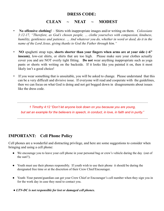#### **DRESS CODE:**

# **CLEAN ~ NEAT ~ MODEST**

- **No offensive clothing!** Shirts with inappropriate images and/or writing on them. *Colossians 3:12-17, "Therefore, as God's chosen people, … clothe yourselves with compassion, kindness, humility, gentleness and patience. … And whatever you do, whether in word or deed, do it in the name of the Lord Jesus, giving thanks to God the Father through him."*
- **NO** spaghetti strap tops, **shorts shorter than your fingers when arms are at your side (~6" inseam)**, low-cut shirts, or shirts that are too high. Please make sure your clothes actually cover you and are NOT overly tight fitting. **Do not** wear anything inappropriate such as yoga pants or shorts with writing on the backside. If it looks like you painted it on, then it most likely isn't a good choice!
- If you wear something that is unsuitable, you will be asked to change. Please understand that this can be a very difficult and divisive issue. If everyone will read and cooperate with the guidelines, then we can focus on what God is doing and not get bogged down in disagreements about issues like the dress code.

*…………………………………………………………………………………………………… 1 Timothy 4:12 "Don't let anyone look down on you because you are young, but set an example for the believers in speech, in conduct, in love, in faith and in purity." ……………………………………………………………………………………………………*

# **IMPORTANT: Cell Phone Policy**

Cell phones are a wonderful and distracting privilege, and here are some suggestions to consider when bringing and using a cell phone:

- We encourage you to leave your cell phone in your personal bag or crew's vehicle during the day (out of the sun!!).
- Youth must use their phones responsibly. If youth wish to use their phone it should be during the designated free time or at the discretion of their Crew Chief/Encourager.
- Youth–Your parent/guardian can get your Crew Chief or Encourager's cell number when they sign you in for the work day in case they need to contact you.
- *LTN-DC is not responsible for lost or damaged cell phones.*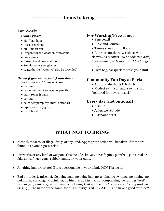**========== Items to bring ==========**

## **For Work:**

- **work gloves**
- Hat/ bandana
- Insect repellent
- 50+ Sunscreen
- Prepare for the weather, rain/shine
- Long pants
- $\bullet$  Closed toe shoes/work boots
- Sunglasses/safety glasses
- Water bottle (water will also be provided)

#### *Bring if you have, but if you don't have it, we will have extras:*

- hammer
- carpenter pencil or regular pencils
- paint roller & pans
- pry bar
- paint scraper/putty knife (optional)
- $\bullet$  tape measure (25 ft.)
- paint brush

# **For Worship/Free Time:**

- Pen/pencil
- Bible and Journal
- Tennis shoes or flip flops
- Appropriate shorts & t-shirts with sleeves *(LTN shirts will be collected daily to be washed, so bring a shirt to change into.)*
- Gym bag/backpack to stash your stuff

# **Community Fun Day at Park:**

- Appropriate shorts & t-shirts
- Modest swim suit and a swim shirt
- (required for boys and girls)

# **Every day (not optional):**

- A smile
- A flexible attitude
- A servant heart

# **======= WHAT NOT TO BRING =======**

- Alcohol, tobacco, or illegal drugs of any kind. Appropriate action will be taken if these are found in anyone's possession.
- Fireworks or any kind of weapon. This includes knives, air soft guns, paintball guns, real or fake guns, finger guns, rubber bands, or water guns.
- Anything inappropriate! If it is questionable in your mind, DON'T bring it!
- Bad attitudes & mischief. No being mad, no being bad, no griping, no swiping, no duking, no puking, no stinking, no drinking, no hissing, no kissing, no complaining, no raining (*God's in charge of that one*), no shoving, only loving (*but not too much 'cause we already said 'no kissing'*). The name of the game for this ministry is BE FLEXIBLE and have a good attitude!!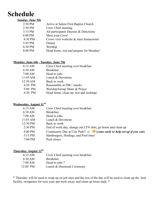# **Schedule**

#### **Sunday, June 5th**

| 2:30 PM   | Arrive at Salem First Baptist Church    |
|-----------|-----------------------------------------|
| 2:30 PM   | Crew Chief meeting                      |
| $3:15$ PM | All participants Decrees & Directions   |
| 4:00 PM   | Meet your Crew!                         |
| 4:30 PM   | Crews visit worksite & meet homeowner   |
| 5:45 PM   | Dinner                                  |
| 6:30 PM   | Worship                                 |
| 8:00 PM   | Head home, rest and prepare for Monday! |
|           |                                         |

#### **Monday, June 6th - Tuesday, June 7th**

| 6:15 AM           | Crew Chief meeting over breakfast      |
|-------------------|----------------------------------------|
| $6:30$ AM         | <b>Breakfast</b>                       |
| $7:00 \text{ AM}$ | Head to jobs                           |
| 11:45 AM          | Lunch & Devotions                      |
| 12:30 AM          | Back to work                           |
| $4:30$ PM         | Reassemble at FBC/ snacks              |
| 5:00 PM           | Worship/Group Share & Prayer           |
| 6:30 PM           | Head home, clean up, rest and recharge |
|                   |                                        |

#### **Wednesday, August 11 th**

| 6:15 AM   | Crew Chief meeting over breakfast                                                     |
|-----------|---------------------------------------------------------------------------------------|
| $6:30$ AM | <b>Breakfast</b>                                                                      |
| 7:00 AM   | Head to jobs                                                                          |
| 11:45 AM  | Lunch & Devotions                                                                     |
| 12:30 PM  | Back to work                                                                          |
| $2:30$ PM | End of work day, change out LTN shirt, go home and clean up                           |
| 4:00 PM   | Community Day at City Park!! $\odot$ $\bullet$ (come early to help set up if you can) |
| 5:15 PM   | Hamburgers, Hotdogs, and Pool time!                                                   |
| 7:00 PM   | Pool closes                                                                           |
|           |                                                                                       |

#### **Thursday, August 12th**

| 6:15 AM  | Crew Chief meeting over breakfast |
|----------|-----------------------------------|
| 6:30 AM  | <b>Breakfast</b>                  |
| 7:00 AM  | Head to jobs *                    |
| 12:00 PM | Lunch & Dismissal Ceremony        |

\* Thursday will be used to wrap up on job sites and the rest of the day will be used to clean up the host facility, reorganize for next year, put tools away, and clean up loose ends. \*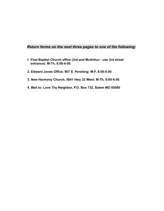#### *Return forms on the next three pages to one of the following:*

- **1. First Baptist Church office (3rd and McArthur use 3rd street entrance): M-Th, 8:00-4:00.**
- **2. Edward Jones Office, 907 S. Pershing: M-F, 8:00-5:00**
- **3. New Harmony Church, 5841 Hwy 32 West: M-Th, 9:00-4:00**
- **4. Mail to: Love Thy Neighbor, P.O. Box 732, Salem MO 65560**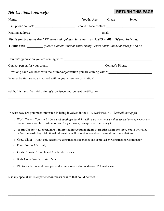# *Tell Us About Yourself:*

#### **RETURN THIS PAGE**

|                                                                                             | Name: Name: Name: Name: Name: Name: Name: Name: Name: Name: Name: Name: Name: Name: Name: Name: Name: Name: Name: Name: Name: Name: Name: Name: Name: Name: Name: Name: Name: Name: Name: Name: Name: Name: Name: Name: Name: |  |  |  |
|---------------------------------------------------------------------------------------------|-------------------------------------------------------------------------------------------------------------------------------------------------------------------------------------------------------------------------------|--|--|--|
|                                                                                             | First phone contact: Second phone contact:                                                                                                                                                                                    |  |  |  |
|                                                                                             |                                                                                                                                                                                                                               |  |  |  |
| Would you like to receive LTN news and updates via email or USPS mail? (If yes, circle one) |                                                                                                                                                                                                                               |  |  |  |
|                                                                                             | <b>T-Shirt size:</b> (please indicate adult or youth sizing) Extra shirts can be ordered for \$8 ea.                                                                                                                          |  |  |  |
|                                                                                             |                                                                                                                                                                                                                               |  |  |  |
|                                                                                             | Church/organization you are coming with:                                                                                                                                                                                      |  |  |  |
|                                                                                             |                                                                                                                                                                                                                               |  |  |  |
|                                                                                             | How long have you been with the church/organization you are coming with?:                                                                                                                                                     |  |  |  |
|                                                                                             |                                                                                                                                                                                                                               |  |  |  |
|                                                                                             |                                                                                                                                                                                                                               |  |  |  |
|                                                                                             |                                                                                                                                                                                                                               |  |  |  |
|                                                                                             |                                                                                                                                                                                                                               |  |  |  |

In what way are you most interested in being involved in the LTN workweek? *(Check all that apply)*

- o Work Crew Youth and Adults (*All youth grades 6-12 will be on work crews unless special arrangements are made.* Work will be construction and /or yard work, no experience necessary.)
- o **Youth Grades 7-12 check here if interested in spending nights at Baptist Camp for more youth activities after the work day.** Additional information will be sent to you about overnight accommodations.

 $\mathcal{L}_\mathcal{L} = \mathcal{L}_\mathcal{L} = \mathcal{L}_\mathcal{L} = \mathcal{L}_\mathcal{L} = \mathcal{L}_\mathcal{L} = \mathcal{L}_\mathcal{L} = \mathcal{L}_\mathcal{L} = \mathcal{L}_\mathcal{L} = \mathcal{L}_\mathcal{L} = \mathcal{L}_\mathcal{L} = \mathcal{L}_\mathcal{L} = \mathcal{L}_\mathcal{L} = \mathcal{L}_\mathcal{L} = \mathcal{L}_\mathcal{L} = \mathcal{L}_\mathcal{L} = \mathcal{L}_\mathcal{L} = \mathcal{L}_\mathcal{L}$ 

 $\mathcal{L}_\mathcal{L} = \mathcal{L}_\mathcal{L} = \mathcal{L}_\mathcal{L} = \mathcal{L}_\mathcal{L} = \mathcal{L}_\mathcal{L} = \mathcal{L}_\mathcal{L} = \mathcal{L}_\mathcal{L} = \mathcal{L}_\mathcal{L} = \mathcal{L}_\mathcal{L} = \mathcal{L}_\mathcal{L} = \mathcal{L}_\mathcal{L} = \mathcal{L}_\mathcal{L} = \mathcal{L}_\mathcal{L} = \mathcal{L}_\mathcal{L} = \mathcal{L}_\mathcal{L} = \mathcal{L}_\mathcal{L} = \mathcal{L}_\mathcal{L}$ 

 $\mathcal{L}_\mathcal{L} = \mathcal{L}_\mathcal{L} = \mathcal{L}_\mathcal{L} = \mathcal{L}_\mathcal{L} = \mathcal{L}_\mathcal{L} = \mathcal{L}_\mathcal{L} = \mathcal{L}_\mathcal{L} = \mathcal{L}_\mathcal{L} = \mathcal{L}_\mathcal{L} = \mathcal{L}_\mathcal{L} = \mathcal{L}_\mathcal{L} = \mathcal{L}_\mathcal{L} = \mathcal{L}_\mathcal{L} = \mathcal{L}_\mathcal{L} = \mathcal{L}_\mathcal{L} = \mathcal{L}_\mathcal{L} = \mathcal{L}_\mathcal{L}$ 

- o Crew Chief Adult only (extensive construction experience and approved by Construction Coordinator)
- o Food Prep Adult only
- o Go-fer/Floater/ Lunch and Cooler deliveries
- o Kids Crew *(youth grades 1-5*)
- o Photographer adult, one per work crew sends photo/video to LTN media team.

List any special skills/experience/interests or info that could be useful: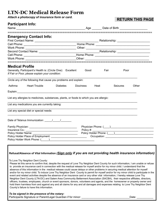# **LTN-DC Medical Release Form**

*Attach a photocopy of insurance form or card.*

## **RETURN THIS PAGE**

| <b>Participant Info:</b>                                                                                                                                                                                                                                                                                                                                                                                                                                                                                                                                                                                                                                                                                                                                                                                                                                                                                                                                                                                                                                                                                                                                                                                                                                                                                                                        |           |              |          |                                                                                                                                                                                                                               |
|-------------------------------------------------------------------------------------------------------------------------------------------------------------------------------------------------------------------------------------------------------------------------------------------------------------------------------------------------------------------------------------------------------------------------------------------------------------------------------------------------------------------------------------------------------------------------------------------------------------------------------------------------------------------------------------------------------------------------------------------------------------------------------------------------------------------------------------------------------------------------------------------------------------------------------------------------------------------------------------------------------------------------------------------------------------------------------------------------------------------------------------------------------------------------------------------------------------------------------------------------------------------------------------------------------------------------------------------------|-----------|--------------|----------|-------------------------------------------------------------------------------------------------------------------------------------------------------------------------------------------------------------------------------|
| <b>Emergency Contact Info:</b>                                                                                                                                                                                                                                                                                                                                                                                                                                                                                                                                                                                                                                                                                                                                                                                                                                                                                                                                                                                                                                                                                                                                                                                                                                                                                                                  |           |              |          |                                                                                                                                                                                                                               |
| <b>Medical Profile</b><br>Generally, Participant's Health is: (Circle One): Excellent<br>If Fair or Poor, please explain your condition:                                                                                                                                                                                                                                                                                                                                                                                                                                                                                                                                                                                                                                                                                                                                                                                                                                                                                                                                                                                                                                                                                                                                                                                                        |           | Good<br>Fair | Poor     |                                                                                                                                                                                                                               |
| Circle any of the following that cause you problems and explain:                                                                                                                                                                                                                                                                                                                                                                                                                                                                                                                                                                                                                                                                                                                                                                                                                                                                                                                                                                                                                                                                                                                                                                                                                                                                                |           |              |          |                                                                                                                                                                                                                               |
| Asthma<br><b>Heart Trouble</b><br><b>Diabetes</b>                                                                                                                                                                                                                                                                                                                                                                                                                                                                                                                                                                                                                                                                                                                                                                                                                                                                                                                                                                                                                                                                                                                                                                                                                                                                                               | Dizziness | Heat         | Seizures | Other                                                                                                                                                                                                                         |
| List any allergies to medicines, substances, plants, or foods to which you are allergic:                                                                                                                                                                                                                                                                                                                                                                                                                                                                                                                                                                                                                                                                                                                                                                                                                                                                                                                                                                                                                                                                                                                                                                                                                                                        |           |              |          |                                                                                                                                                                                                                               |
| List any medications you are currently taking:                                                                                                                                                                                                                                                                                                                                                                                                                                                                                                                                                                                                                                                                                                                                                                                                                                                                                                                                                                                                                                                                                                                                                                                                                                                                                                  |           |              |          |                                                                                                                                                                                                                               |
| List any special diet or special needs:                                                                                                                                                                                                                                                                                                                                                                                                                                                                                                                                                                                                                                                                                                                                                                                                                                                                                                                                                                                                                                                                                                                                                                                                                                                                                                         |           |              |          |                                                                                                                                                                                                                               |
| Policy Holder Work Phone: (Completed by Denmark Policy Holder Work Phone: (Completed by Denmark Policy Policy                                                                                                                                                                                                                                                                                                                                                                                                                                                                                                                                                                                                                                                                                                                                                                                                                                                                                                                                                                                                                                                                                                                                                                                                                                   |           |              |          | Physician Phone: ( ) New York Changes and Changes and Changes and Changes and Changes and Changes and Changes and Changes and Changes and Changes and Changes and Changes and Changes and Changes and Changes and Changes and |
| Refusal/Absence of Vital Information (Sign only if you are not providing health insurance information)<br>To Love Thy Neighbor Dent County:<br>Please let this serve to confirm that, despite the request of Love Thy Neighbor Dent County for such information, I am unable or refuse<br>to provide an insurance card in connection with the medical release for myself and/or for my minor child. I understand that the<br>absence of this information in the medical release could cause delays or other problems in securing medical attention for myself<br>and/or for my minor child. To induce Love Thy Neighbor Dent County to permit for myself and/or for my minor child to participate in the<br>event and related activities despite the absence of an insurance card or any other vital information, I hereby release Love Thy<br>Neighbor Dent County (LTN-DC) and Salem Area Community Betterment Association (SACBA), their respective affiliates, directors,<br>officers, trustees, employees, church or event sponsors, donors, volunteers and agents, and the homeowner or property owner and<br>hold them harmless from and against any and all claims for any and all damages and expenses relating to Love Thy Neighbor Dent<br>County's failure to have this information.<br>To be signed in the presence of the notary: |           |              |          |                                                                                                                                                                                                                               |

Participants Signature or Parent/Legal Guardian if for minor: \_\_\_\_\_\_\_\_\_\_\_\_\_\_\_\_\_\_\_\_\_\_\_\_\_\_\_\_\_\_\_\_\_\_\_Date: \_\_\_\_\_\_\_